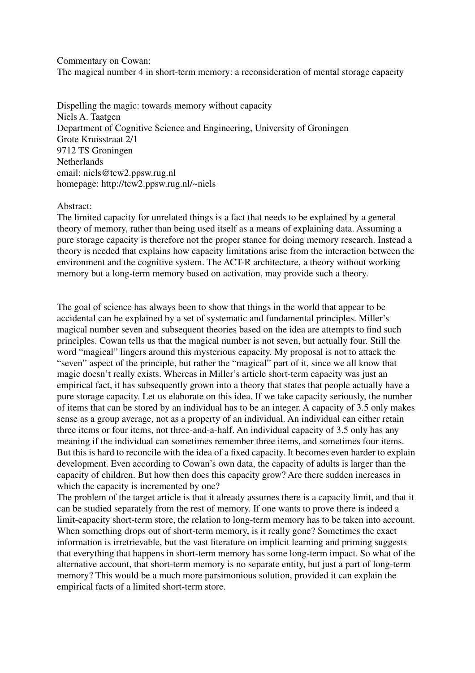Commentary on Cowan: The magical number 4 in short-term memory: a reconsideration of mental storage capacity

Dispelling the magic: towards memory without capacity Niels A. Taatgen Department of Cognitive Science and Engineering, University of Groningen Grote Kruisstraat 2/1 9712 TS Groningen **Netherlands** email: niels@tcw2.ppsw.rug.nl homepage: http://tcw2.ppsw.rug.nl/~niels

## Abstract:

The limited capacity for unrelated things is a fact that needs to be explained by a general theory of memory, rather than being used itself as a means of explaining data. Assuming a pure storage capacity is therefore not the proper stance for doing memory research. Instead a theory is needed that explains how capacity limitations arise from the interaction between the environment and the cognitive system. The ACT-R architecture, a theory without working memory but a long-term memory based on activation, may provide such a theory.

The goal of science has always been to show that things in the world that appear to be accidental can be explained by a set of systematic and fundamental principles. Miller's magical number seven and subsequent theories based on the idea are attempts to find such principles. Cowan tells us that the magical number is not seven, but actually four. Still the word "magical" lingers around this mysterious capacity. My proposal is not to attack the "seven" aspect of the principle, but rather the "magical" part of it, since we all know that magic doesn't really exists. Whereas in Miller's article short-term capacity was just an empirical fact, it has subsequently grown into a theory that states that people actually have a pure storage capacity. Let us elaborate on this idea. If we take capacity seriously, the number of items that can be stored by an individual has to be an integer. A capacity of 3.5 only makes sense as a group average, not as a property of an individual. An individual can either retain three items or four items, not three-and-a-half. An individual capacity of 3.5 only has any meaning if the individual can sometimes remember three items, and sometimes four items. But this is hard to reconcile with the idea of a fixed capacity. It becomes even harder to explain development. Even according to Cowan's own data, the capacity of adults is larger than the capacity of children. But how then does this capacity grow? Are there sudden increases in which the capacity is incremented by one?

The problem of the target article is that it already assumes there is a capacity limit, and that it can be studied separately from the rest of memory. If one wants to prove there is indeed a limit-capacity short-term store, the relation to long-term memory has to be taken into account. When something drops out of short-term memory, is it really gone? Sometimes the exact information is irretrievable, but the vast literature on implicit learning and priming suggests that everything that happens in short-term memory has some long-term impact. So what of the alternative account, that short-term memory is no separate entity, but just a part of long-term memory? This would be a much more parsimonious solution, provided it can explain the empirical facts of a limited short-term store.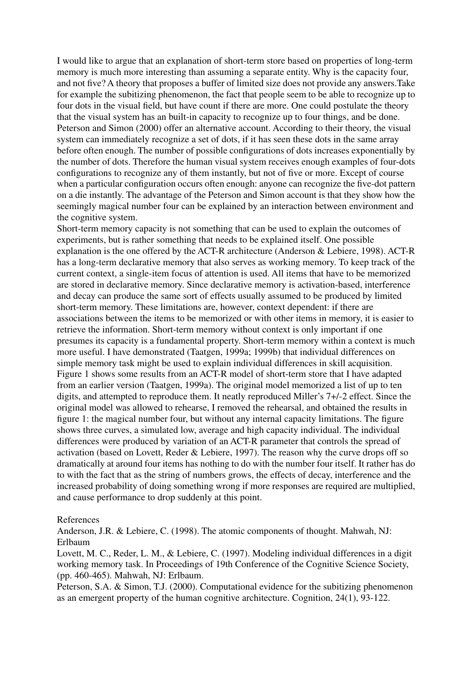I would like to argue that an explanation of short-term store based on properties of long-term memory is much more interesting than assuming a separate entity. Why is the capacity four, and not five? A theory that proposes a buffer of limited size does not provide any answers.Take for example the subitizing phenomenon, the fact that people seem to be able to recognize up to four dots in the visual field, but have count if there are more. One could postulate the theory that the visual system has an built-in capacity to recognize up to four things, and be done. Peterson and Simon (2000) offer an alternative account. According to their theory, the visual system can immediately recognize a set of dots, if it has seen these dots in the same array before often enough. The number of possible configurations of dots increases exponentially by the number of dots. Therefore the human visual system receives enough examples of four-dots configurations to recognize any of them instantly, but not of five or more. Except of course when a particular configuration occurs often enough: anyone can recognize the five-dot pattern on a die instantly. The advantage of the Peterson and Simon account is that they show how the seemingly magical number four can be explained by an interaction between environment and the cognitive system.

Short-term memory capacity is not something that can be used to explain the outcomes of experiments, but is rather something that needs to be explained itself. One possible explanation is the one offered by the ACT-R architecture (Anderson & Lebiere, 1998). ACT-R has a long-term declarative memory that also serves as working memory. To keep track of the current context, a single-item focus of attention is used. All items that have to be memorized are stored in declarative memory. Since declarative memory is activation-based, interference and decay can produce the same sort of effects usually assumed to be produced by limited short-term memory. These limitations are, however, context dependent: if there are associations between the items to be memorized or with other items in memory, it is easier to retrieve the information. Short-term memory without context is only important if one presumes its capacity is a fundamental property. Short-term memory within a context is much more useful. I have demonstrated (Taatgen, 1999a; 1999b) that individual differences on simple memory task might be used to explain individual differences in skill acquisition. Figure 1 shows some results from an ACT-R model of short-term store that I have adapted from an earlier version (Taatgen, 1999a). The original model memorized a list of up to ten digits, and attempted to reproduce them. It neatly reproduced Miller's 7+/-2 effect. Since the original model was allowed to rehearse, I removed the rehearsal, and obtained the results in figure 1: the magical number four, but without any internal capacity limitations. The figure shows three curves, a simulated low, average and high capacity individual. The individual differences were produced by variation of an ACT-R parameter that controls the spread of activation (based on Lovett, Reder & Lebiere, 1997). The reason why the curve drops off so dramatically at around four items has nothing to do with the number four itself. It rather has do to with the fact that as the string of numbers grows, the effects of decay, interference and the increased probability of doing something wrong if more responses are required are multiplied, and cause performance to drop suddenly at this point.

## References

Anderson, J.R. & Lebiere, C. (1998). The atomic components of thought. Mahwah, NJ: Erlbaum

Lovett, M. C., Reder, L. M., & Lebiere, C. (1997). Modeling individual differences in a digit working memory task. In Proceedings of 19th Conference of the Cognitive Science Society, (pp. 460-465). Mahwah, NJ: Erlbaum.

Peterson, S.A. & Simon, T.J. (2000). Computational evidence for the subitizing phenomenon as an emergent property of the human cognitive architecture. Cognition, 24(1), 93-122.